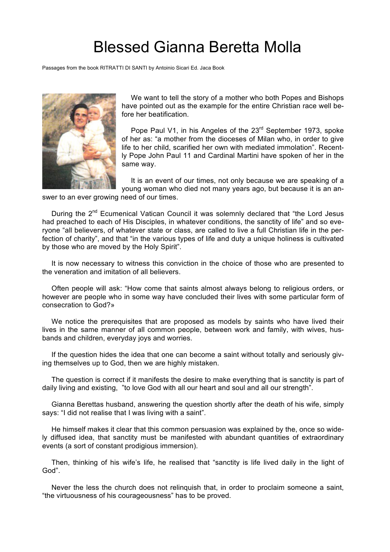## Blessed Gianna Beretta Molla

Passages from the book RITRATTI DI SANTI by Antoinio Sicari Ed. Jaca Book



We want to tell the story of a mother who both Popes and Bishops have pointed out as the example for the entire Christian race well before her beatification.

Pope Paul V1, in his Angeles of the 23<sup>rd</sup> September 1973, spoke of her as: "a mother from the dioceses of Milan who, in order to give life to her child, scarified her own with mediated immolation". Recently Pope John Paul 11 and Cardinal Martini have spoken of her in the same way.

It is an event of our times, not only because we are speaking of a young woman who died not many years ago, but because it is an an-

swer to an ever growing need of our times.

During the 2<sup>nd</sup> Ecumenical Vatican Council it was solemnly declared that "the Lord Jesus had preached to each of His Disciples, in whatever conditions, the sanctity of life" and so everyone "all believers, of whatever state or class, are called to live a full Christian life in the perfection of charity", and that "in the various types of life and duty a unique holiness is cultivated by those who are moved by the Holy Spirit".

It is now necessary to witness this conviction in the choice of those who are presented to the veneration and imitation of all believers.

Often people will ask: "How come that saints almost always belong to religious orders, or however are people who in some way have concluded their lives with some particular form of consecration to God?»

We notice the prerequisites that are proposed as models by saints who have lived their lives in the same manner of all common people, between work and family, with wives, husbands and children, everyday joys and worries.

If the question hides the idea that one can become a saint without totally and seriously giving themselves up to God, then we are highly mistaken.

The question is correct if it manifests the desire to make everything that is sanctity is part of daily living and existing, "to love God with all our heart and soul and all our strength".

Gianna Berettas husband, answering the question shortly after the death of his wife, simply says: "I did not realise that I was living with a saint".

He himself makes it clear that this common persuasion was explained by the, once so widely diffused idea, that sanctity must be manifested with abundant quantities of extraordinary events (a sort of constant prodigious immersion).

Then, thinking of his wife's life, he realised that "sanctity is life lived daily in the light of God".

Never the less the church does not relinquish that, in order to proclaim someone a saint, "the virtuousness of his courageousness" has to be proved.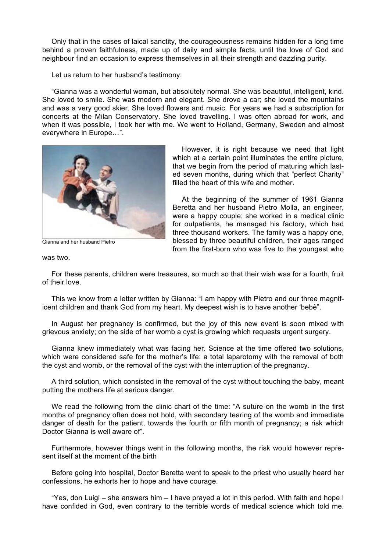Only that in the cases of laical sanctity, the courageousness remains hidden for a long time behind a proven faithfulness, made up of daily and simple facts, until the love of God and neighbour find an occasion to express themselves in all their strength and dazzling purity.

Let us return to her husband's testimony:

"Gianna was a wonderful woman, but absolutely normal. She was beautiful, intelligent, kind. She loved to smile. She was modern and elegant. She drove a car; she loved the mountains and was a very good skier. She loved flowers and music. For years we had a subscription for concerts at the Milan Conservatory. She loved travelling. I was often abroad for work, and when it was possible, I took her with me. We went to Holland, Germany, Sweden and almost everywhere in Europe…".



Gianna and her husband Pietro

However, it is right because we need that light which at a certain point illuminates the entire picture, that we begin from the period of maturing which lasted seven months, during which that "perfect Charity" filled the heart of this wife and mother.

At the beginning of the summer of 1961 Gianna Beretta and her husband Pietro Molla, an engineer, were a happy couple; she worked in a medical clinic for outpatients, he managed his factory, which had three thousand workers. The family was a happy one, blessed by three beautiful children, their ages ranged from the first-born who was five to the youngest who

was two.

For these parents, children were treasures, so much so that their wish was for a fourth, fruit of their love.

This we know from a letter written by Gianna: "I am happy with Pietro and our three magnificent children and thank God from my heart. My deepest wish is to have another 'bebè".

In August her pregnancy is confirmed, but the joy of this new event is soon mixed with grievous anxiety; on the side of her womb a cyst is growing which requests urgent surgery.

Gianna knew immediately what was facing her. Science at the time offered two solutions, which were considered safe for the mother's life: a total laparotomy with the removal of both the cyst and womb, or the removal of the cyst with the interruption of the pregnancy.

A third solution, which consisted in the removal of the cyst without touching the baby, meant putting the mothers life at serious danger.

We read the following from the clinic chart of the time: "A suture on the womb in the first months of pregnancy often does not hold, with secondary tearing of the womb and immediate danger of death for the patient, towards the fourth or fifth month of pregnancy; a risk which Doctor Gianna is well aware of".

Furthermore, however things went in the following months, the risk would however represent itself at the moment of the birth

Before going into hospital, Doctor Beretta went to speak to the priest who usually heard her confessions, he exhorts her to hope and have courage.

"Yes, don Luigi – she answers him – I have prayed a lot in this period. With faith and hope I have confided in God, even contrary to the terrible words of medical science which told me.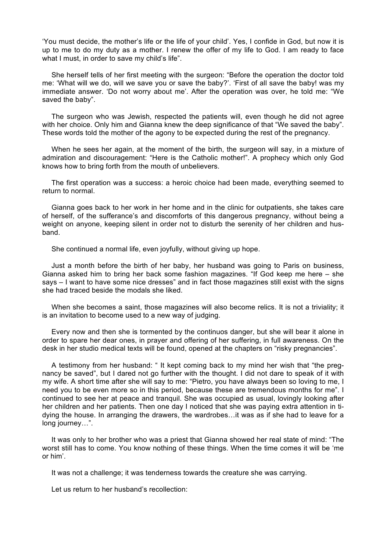'You must decide, the mother's life or the life of your child'. Yes, I confide in God, but now it is up to me to do my duty as a mother. I renew the offer of my life to God. I am ready to face what I must, in order to save my child's life".

She herself tells of her first meeting with the surgeon: "Before the operation the doctor told me: 'What will we do, will we save you or save the baby?'. 'First of all save the baby! was my immediate answer. 'Do not worry about me'. After the operation was over, he told me: "We saved the baby".

The surgeon who was Jewish, respected the patients will, even though he did not agree with her choice. Only him and Gianna knew the deep significance of that "We saved the baby". These words told the mother of the agony to be expected during the rest of the pregnancy.

When he sees her again, at the moment of the birth, the surgeon will say, in a mixture of admiration and discouragement: "Here is the Catholic mother!". A prophecy which only God knows how to bring forth from the mouth of unbelievers.

The first operation was a success: a heroic choice had been made, everything seemed to return to normal.

Gianna goes back to her work in her home and in the clinic for outpatients, she takes care of herself, of the sufferance's and discomforts of this dangerous pregnancy, without being a weight on anyone, keeping silent in order not to disturb the serenity of her children and husband.

She continued a normal life, even joyfully, without giving up hope.

Just a month before the birth of her baby, her husband was going to Paris on business, Gianna asked him to bring her back some fashion magazines. "If God keep me here – she says – I want to have some nice dresses" and in fact those magazines still exist with the signs she had traced beside the modals she liked.

When she becomes a saint, those magazines will also become relics. It is not a triviality; it is an invitation to become used to a new way of judging.

Every now and then she is tormented by the continuos danger, but she will bear it alone in order to spare her dear ones, in prayer and offering of her suffering, in full awareness. On the desk in her studio medical texts will be found, opened at the chapters on "risky pregnancies".

A testimony from her husband: " It kept coming back to my mind her wish that "the pregnancy be saved", but I dared not go further with the thought. I did not dare to speak of it with my wife. A short time after she will say to me: "Pietro, you have always been so loving to me, I need you to be even more so in this period, because these are tremendous months for me". I continued to see her at peace and tranquil. She was occupied as usual, lovingly looking after her children and her patients. Then one day I noticed that she was paying extra attention in tidying the house. In arranging the drawers, the wardrobes…it was as if she had to leave for a long journey…".

It was only to her brother who was a priest that Gianna showed her real state of mind: "The worst still has to come. You know nothing of these things. When the time comes it will be 'me or him'.

It was not a challenge; it was tenderness towards the creature she was carrying.

Let us return to her husband's recollection: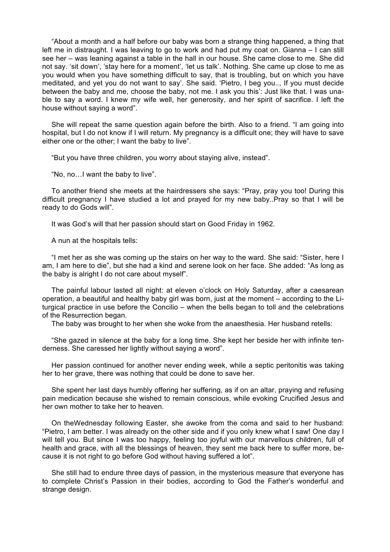"About a month and a half before our baby was born a strange thing happened, a thing that left me in distraught. I was leaving to go to work and had put my coat on. Gianna – I can still see her – was leaning against a table in the hall in our house. She came close to me. She did not say. 'sit down', 'stay here for a moment', 'let us talk'. Nothing. She came up close to me as you would when you have something difficult to say, that is troubling, but on which you have meditated, and yet you do not want to say'. She said. 'Pietro, I beg you.., If you must decide between the baby and me, choose the baby, not me. I ask you this': Just like that. I was unable to say a word. I knew my wife well, her generosity, and her spirit of sacrifice. I left the house without saying a word".

She will repeat the same question again before the birth. Also to a friend. "I am going into hospital, but I do not know if I will return. My pregnancy is a difficult one; they will have to save either one or the other; I want the baby to live".

"But you have three children, you worry about staying alive, instead".

"No, no…I want the baby to live".

To another friend she meets at the hairdressers she says: "Pray, pray you too! During this difficult pregnancy I have studied a lot and prayed for my new baby..Pray so that I will be ready to do Gods will".

It was God's will that her passion should start on Good Friday in 1962.

A nun at the hospitals tells:

"I met her as she was coming up the stairs on her way to the ward. She said: "Sister, here I am, I am here to die", but she had a kind and serene look on her face. She added: "As long as the baby is alright I do not care about myself".

The painful labour lasted all night: at eleven o'clock on Holy Saturday, after a caesarean operation, a beautiful and healthy baby girl was born, just at the moment – according to the Liturgical practice in use before the Concilio – when the bells began to toll and the celebrations of the Resurrection began.

The baby was brought to her when she woke from the anaesthesia. Her husband retells:

"She gazed in silence at the baby for a long time. She kept her beside her with infinite tenderness. She caressed her lightly without saying a word".

Her passion continued for another never ending week, while a septic peritonitis was taking her to her grave, there was nothing that could be done to save her.

She spent her last days humbly offering her suffering, as if on an altar, praying and refusing pain medication because she wished to remain conscious, while evoking Crucified Jesus and her own mother to take her to heaven.

On theWednesday following Easter, she awoke from the coma and said to her husband: "Pietro, I am better. I was already on the other side and if you only knew what I saw! One day I will tell you. But since I was too happy, feeling too joyful with our marvellous children, full of health and grace, with all the blessings of heaven, they sent me back here to suffer more, because it is not right to go before God without having suffered a lot".

She still had to endure three days of passion, in the mysterious measure that everyone has to complete Christ's Passion in their bodies, according to God the Father's wonderful and strange design.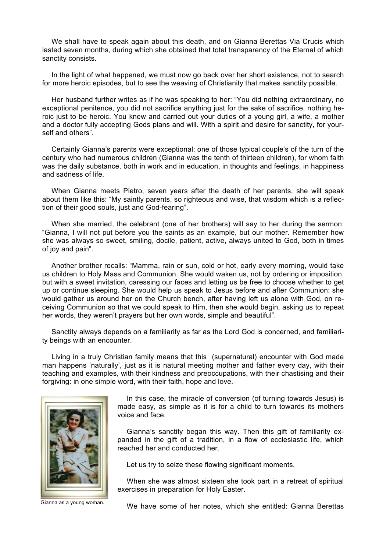We shall have to speak again about this death, and on Gianna Berettas Via Crucis which lasted seven months, during which she obtained that total transparency of the Eternal of which sanctity consists.

In the light of what happened, we must now go back over her short existence, not to search for more heroic episodes, but to see the weaving of Christianity that makes sanctity possible.

Her husband further writes as if he was speaking to her: "You did nothing extraordinary, no exceptional penitence, you did not sacrifice anything just for the sake of sacrifice, nothing heroic just to be heroic. You knew and carried out your duties of a young girl, a wife, a mother and a doctor fully accepting Gods plans and will. With a spirit and desire for sanctity, for yourself and others".

Certainly Gianna's parents were exceptional: one of those typical couple's of the turn of the century who had numerous children (Gianna was the tenth of thirteen children), for whom faith was the daily substance, both in work and in education, in thoughts and feelings, in happiness and sadness of life.

When Gianna meets Pietro, seven years after the death of her parents, she will speak about them like this: "My saintly parents, so righteous and wise, that wisdom which is a reflection of their good souls, just and God-fearing".

When she married, the celebrant (one of her brothers) will say to her during the sermon: "Gianna, I will not put before you the saints as an example, but our mother. Remember how she was always so sweet, smiling, docile, patient, active, always united to God, both in times of joy and pain".

Another brother recalls: "Mamma, rain or sun, cold or hot, early every morning, would take us children to Holy Mass and Communion. She would waken us, not by ordering or imposition, but with a sweet invitation, caressing our faces and letting us be free to choose whether to get up or continue sleeping. She would help us speak to Jesus before and after Communion: she would gather us around her on the Church bench, after having left us alone with God, on receiving Communion so that we could speak to Him, then she would begin, asking us to repeat her words, they weren't prayers but her own words, simple and beautiful".

Sanctity always depends on a familiarity as far as the Lord God is concerned, and familiarity beings with an encounter.

Living in a truly Christian family means that this (supernatural) encounter with God made man happens 'naturally', just as it is natural meeting mother and father every day, with their teaching and examples, with their kindness and preoccupations, with their chastising and their forgiving: in one simple word, with their faith, hope and love.



In this case, the miracle of conversion (of turning towards Jesus) is made easy, as simple as it is for a child to turn towards its mothers voice and face.

Gianna's sanctity began this way. Then this gift of familiarity expanded in the gift of a tradition, in a flow of ecclesiastic life, which reached her and conducted her.

Let us try to seize these flowing significant moments.

When she was almost sixteen she took part in a retreat of spiritual exercises in preparation for Holy Easter.

Gianna as a young woman. We have some of her notes, which she entitled: Gianna Berettas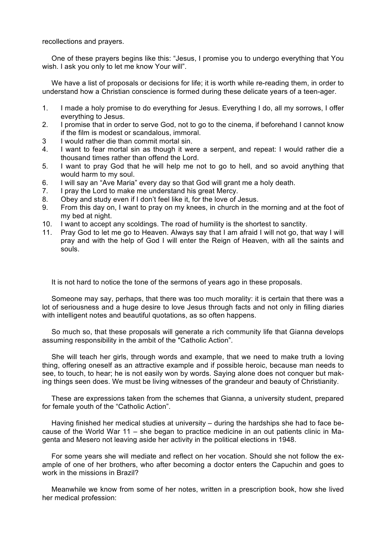recollections and prayers.

One of these prayers begins like this: "Jesus, I promise you to undergo everything that You wish. I ask you only to let me know Your will".

We have a list of proposals or decisions for life; it is worth while re-reading them, in order to understand how a Christian conscience is formed during these delicate years of a teen-ager.

- 1. I made a holy promise to do everything for Jesus. Everything I do, all my sorrows, I offer everything to Jesus.
- 2. I promise that in order to serve God, not to go to the cinema, if beforehand I cannot know if the film is modest or scandalous, immoral.
- 3 I would rather die than commit mortal sin.
- 4. I want to fear mortal sin as though it were a serpent, and repeat: I would rather die a thousand times rather than offend the Lord.
- 5. I want to pray God that he will help me not to go to hell, and so avoid anything that would harm to my soul.
- 6. I will say an "Ave Maria" every day so that God will grant me a holy death.
- 7. I pray the Lord to make me understand his great Mercy.
- 8. Obey and study even if I don't feel like it, for the love of Jesus.
- 9. From this day on, I want to pray on my knees, in church in the morning and at the foot of my bed at night.
- 10. I want to accept any scoldings. The road of humility is the shortest to sanctity.
- 11. Pray God to let me go to Heaven. Always say that I am afraid I will not go, that way I will pray and with the help of God I will enter the Reign of Heaven, with all the saints and souls.

It is not hard to notice the tone of the sermons of years ago in these proposals.

Someone may say, perhaps, that there was too much morality: it is certain that there was a lot of seriousness and a huge desire to love Jesus through facts and not only in filling diaries with intelligent notes and beautiful quotations, as so often happens.

So much so, that these proposals will generate a rich community life that Gianna develops assuming responsibility in the ambit of the "Catholic Action".

She will teach her girls, through words and example, that we need to make truth a loving thing, offering oneself as an attractive example and if possible heroic, because man needs to see, to touch, to hear; he is not easily won by words. Saying alone does not conquer but making things seen does. We must be living witnesses of the grandeur and beauty of Christianity.

These are expressions taken from the schemes that Gianna, a university student, prepared for female youth of the "Catholic Action".

Having finished her medical studies at university – during the hardships she had to face because of the World War 11 – she began to practice medicine in an out patients clinic in Magenta and Mesero not leaving aside her activity in the political elections in 1948.

For some years she will mediate and reflect on her vocation. Should she not follow the example of one of her brothers, who after becoming a doctor enters the Capuchin and goes to work in the missions in Brazil?

Meanwhile we know from some of her notes, written in a prescription book, how she lived her medical profession: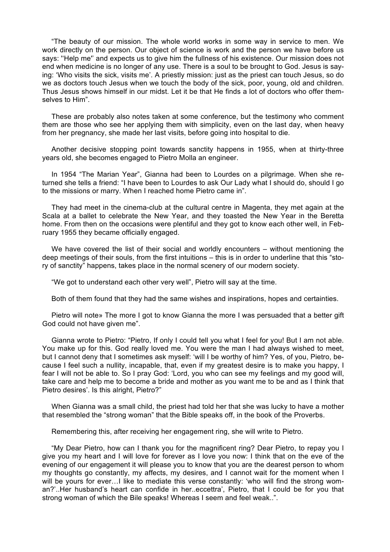"The beauty of our mission. The whole world works in some way in service to men. We work directly on the person. Our object of science is work and the person we have before us says: ''Help me'' and expects us to give him the fullness of his existence. Our mission does not end when medicine is no longer of any use. There is a soul to be brought to God. Jesus is saying: 'Who visits the sick, visits me'. A priestly mission: just as the priest can touch Jesus, so do we as doctors touch Jesus when we touch the body of the sick, poor, young, old and children. Thus Jesus shows himself in our midst. Let it be that He finds a lot of doctors who offer themselves to Him".

These are probably also notes taken at some conference, but the testimony who comment them are those who see her applying them with simplicity, even on the last day, when heavy from her pregnancy, she made her last visits, before going into hospital to die.

Another decisive stopping point towards sanctity happens in 1955, when at thirty-three years old, she becomes engaged to Pietro Molla an engineer.

In 1954 "The Marian Year", Gianna had been to Lourdes on a pilgrimage. When she returned she tells a friend: "I have been to Lourdes to ask Our Lady what I should do, should I go to the missions or marry. When I reached home Pietro came in".

They had meet in the cinema-club at the cultural centre in Magenta, they met again at the Scala at a ballet to celebrate the New Year, and they toasted the New Year in the Beretta home. From then on the occasions were plentiful and they got to know each other well, in February 1955 they became officially engaged.

We have covered the list of their social and worldly encounters – without mentioning the deep meetings of their souls, from the first intuitions – this is in order to underline that this "story of sanctity" happens, takes place in the normal scenery of our modern society.

"We got to understand each other very well", Pietro will say at the time.

Both of them found that they had the same wishes and inspirations, hopes and certainties.

Pietro will note» The more I got to know Gianna the more I was persuaded that a better gift God could not have given me".

Gianna wrote to Pietro: "Pietro, If only I could tell you what I feel for you! But I am not able. You make up for this. God really loved me. You were the man I had always wished to meet, but I cannot deny that I sometimes ask myself: 'will I be worthy of him? Yes, of you, Pietro, because I feel such a nullity, incapable, that, even if my greatest desire is to make you happy, I fear I will not be able to. So I pray God: 'Lord, you who can see my feelings and my good will, take care and help me to become a bride and mother as you want me to be and as I think that Pietro desires'. Is this alright, Pietro?"

When Gianna was a small child, the priest had told her that she was lucky to have a mother that resembled the "strong woman" that the Bible speaks off, in the book of the Proverbs.

Remembering this, after receiving her engagement ring, she will write to Pietro.

"My Dear Pietro, how can I thank you for the magnificent ring? Dear Pietro, to repay you I give you my heart and I will love for forever as I love you now: I think that on the eve of the evening of our engagement it will please you to know that you are the dearest person to whom my thoughts go constantly, my affects, my desires, and I cannot wait for the moment when I will be yours for ever... I like to mediate this verse constantly: 'who will find the strong woman?'..Her husband's heart can confide in her..eccettra', Pietro, that I could be for you that strong woman of which the Bile speaks! Whereas I seem and feel weak..".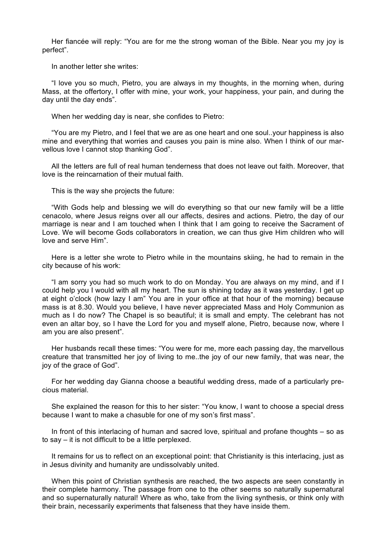Her fiancée will reply: "You are for me the strong woman of the Bible. Near you my joy is perfect".

In another letter she writes:

"I love you so much, Pietro, you are always in my thoughts, in the morning when, during Mass, at the offertory, I offer with mine, your work, your happiness, your pain, and during the day until the day ends".

When her wedding day is near, she confides to Pietro:

"You are my Pietro, and I feel that we are as one heart and one soul..your happiness is also mine and everything that worries and causes you pain is mine also. When I think of our marvellous love I cannot stop thanking God".

All the letters are full of real human tenderness that does not leave out faith. Moreover, that love is the reincarnation of their mutual faith.

This is the way she projects the future:

"With Gods help and blessing we will do everything so that our new family will be a little cenacolo, where Jesus reigns over all our affects, desires and actions. Pietro, the day of our marriage is near and I am touched when I think that I am going to receive the Sacrament of Love. We will become Gods collaborators in creation, we can thus give Him children who will love and serve Him".

Here is a letter she wrote to Pietro while in the mountains skiing, he had to remain in the city because of his work:

"I am sorry you had so much work to do on Monday. You are always on my mind, and if I could help you I would with all my heart. The sun is shining today as it was yesterday. I get up at eight o'clock (how lazy I am" You are in your office at that hour of the morning) because mass is at 8.30. Would you believe, I have never appreciated Mass and Holy Communion as much as I do now? The Chapel is so beautiful; it is small and empty. The celebrant has not even an altar boy, so I have the Lord for you and myself alone, Pietro, because now, where I am you are also present".

Her husbands recall these times: "You were for me, more each passing day, the marvellous creature that transmitted her joy of living to me..the joy of our new family, that was near, the joy of the grace of God".

For her wedding day Gianna choose a beautiful wedding dress, made of a particularly precious material.

She explained the reason for this to her sister: "You know, I want to choose a special dress because I want to make a chasuble for one of my son's first mass".

In front of this interlacing of human and sacred love, spiritual and profane thoughts – so as to say – it is not difficult to be a little perplexed.

It remains for us to reflect on an exceptional point: that Christianity is this interlacing, just as in Jesus divinity and humanity are undissolvably united.

When this point of Christian synthesis are reached, the two aspects are seen constantly in their complete harmony. The passage from one to the other seems so naturally supernatural and so supernaturally natural! Where as who, take from the living synthesis, or think only with their brain, necessarily experiments that falseness that they have inside them.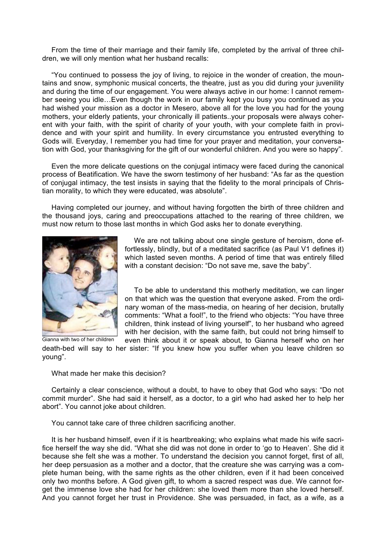From the time of their marriage and their family life, completed by the arrival of three children, we will only mention what her husband recalls:

"You continued to possess the joy of living, to rejoice in the wonder of creation, the mountains and snow, symphonic musical concerts, the theatre, just as you did during your juvenility and during the time of our engagement. You were always active in our home: I cannot remember seeing you idle…Even though the work in our family kept you busy you continued as you had wished your mission as a doctor in Mesero, above all for the love you had for the young mothers, your elderly patients, your chronically ill patients..your proposals were always coherent with your faith, with the spirit of charity of your youth, with your complete faith in providence and with your spirit and humility. In every circumstance you entrusted everything to Gods will. Everyday, I remember you had time for your prayer and meditation, your conversation with God, your thanksgiving for the gift of our wonderful children. And you were so happy".

Even the more delicate questions on the conjugal intimacy were faced during the canonical process of Beatification. We have the sworn testimony of her husband: "As far as the question of conjugal intimacy, the test insists in saying that the fidelity to the moral principals of Christian morality, to which they were educated, was absolute".

Having completed our journey, and without having forgotten the birth of three children and the thousand joys, caring and preoccupations attached to the rearing of three children, we must now return to those last months in which God asks her to donate everything.



We are not talking about one single gesture of heroism, done effortlessly, blindly, but of a meditated sacrifice (as Paul V1 defines it) which lasted seven months. A period of time that was entirely filled with a constant decision: "Do not save me, save the baby".

To be able to understand this motherly meditation, we can linger on that which was the question that everyone asked. From the ordinary woman of the mass-media, on hearing of her decision, brutally comments: "What a fool!", to the friend who objects: "You have three children, think instead of living yourself", to her husband who agreed with her decision, with the same faith, but could not bring himself to even think about it or speak about, to Gianna herself who on her

death-bed will say to her sister: "If you knew how you suffer when you leave children so young".

What made her make this decision?

Certainly a clear conscience, without a doubt, to have to obey that God who says: "Do not commit murder". She had said it herself, as a doctor, to a girl who had asked her to help her abort". You cannot joke about children.

You cannot take care of three children sacrificing another.

It is her husband himself, even if it is heartbreaking; who explains what made his wife sacrifice herself the way she did. "What she did was not done in order to 'go to Heaven'. She did it because she felt she was a mother. To understand the decision you cannot forget, first of all, her deep persuasion as a mother and a doctor, that the creature she was carrying was a complete human being, with the same rights as the other children, even if it had been conceived only two months before. A God given gift, to whom a sacred respect was due. We cannot forget the immense love she had for her children: she loved them more than she loved herself. And you cannot forget her trust in Providence. She was persuaded, in fact, as a wife, as a